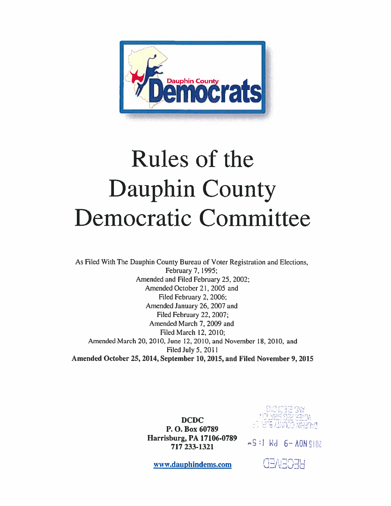

# Rules of the Dauphin County Democratic Committee

As Filed With The Dauphin County Bureau of Voter Registration and Elections, February 7, 1995; Amended and Filed February 25, 2002; Amended October 21, 2005 and Filed February 2, 2006; Amended January 26, 2007 and Filed February 22, 2007; Amended March 7, 2009 and Filed March 12, 2010; Amended March 20, 2010, June 12, 2010, and November 18, 2010. and Filed July 5,2011 Amended October 25, 2014, September 10, 2015, and Filed November 9, 2015

> DCDC P. O. Box 60789 Harrisburg, PA 17106-0789<br>717 233-1321

rr:

 $FS:1$   $Nd$   $6-$  AON  $9102$ 

www.dauphinderns.com

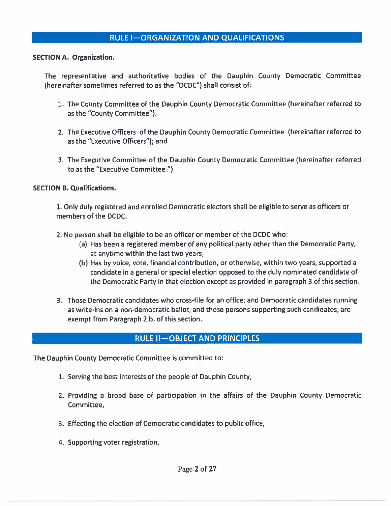#### RULE I—ORGANIZATION AND QUALIFICATIONS

SECTION A. Organization.

The representative and authoritative bodies of the Dauphin County Democratic Committee (hereinafter sometimes referred to as the "DCDC") shall consist of:

- 1. The County Committee of the Dauphin County Democratic Committee (hereinafter referred to as the "County Committee").
- 2. The Executive Officers of the Dauphin County Democratic Committee (hereinafter referred to as the "Executive Officers"); and
- 3. The Executive Committee of the Dauphin County Democratic Committee (hereinafter referred to as the "Executive Committee.")

#### SECTION B. Qualifications.

1. Only duly registered and enrolled Democratic electors shall be eligible to serve as officers or members of the DCDC.

- 2. No person shall be eligible to be an officer or member of the DCDC who:
	- (a) Has been <sup>a</sup> registered member of any political party other than the Democratic Party, at anytime within the last two years,
	- (b) Has by voice, vote, financial contribution, or otherwise, within two years, supported <sup>a</sup> candidate in a general or special election opposed to the duly nominated candidate of the Democratic Party in that election excep<sup>t</sup> as provided in paragraph 3 of this section.
- 3. Those Democratic candidates who cross-file for an office; and Democratic candidates running as write-ins on <sup>a</sup> non-democratic ballot; and those persons supporting such candidates, are exempt from Paragraph 2.b. of this section.

#### RULE Il—OBJECT AND PRINCIPLES

The Dauphin County Democratic Committee is committed to:

- 1. Serving the best interests of the people of Dauphin County,
- 2. Providing <sup>a</sup> broad base of participation in the affairs of the Dauphin County Democratic Committee,
- 3. Effecting the election of Democratic candidates to public office,
- 4. Supporting voter registration,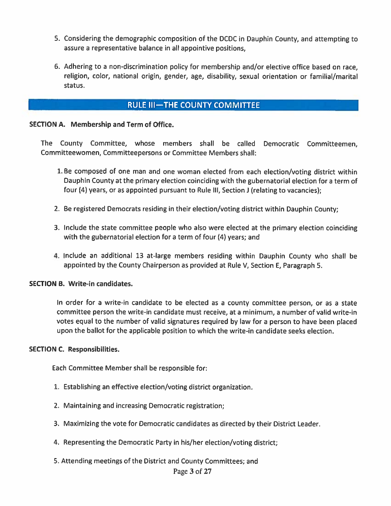- 5. Considering the demographic composition of the DCDC in Dauphin County, and attempting to assure <sup>a</sup> representative balance in all appointive positions,
- 6. Adhering to <sup>a</sup> non-discrimination policy for membership and/or elective office based on race, religion, color, national origin, gender, age, disability, sexual orientation or familial/marital status.

## RULE III-THE COUNTY COMMITTEE

#### SECTION A. Membership and Term of Office.

The County Committee, whose members shall be called Democratic Committeemen, Committeewomen, Committeepersons or Committee Members shall:

- 1. Be composed of one man and one woman elected from each election/voting district within Dauphin County at the primary election coinciding with the gubernatorial election for <sup>a</sup> term of four (4) years, or as appointed pursuant to Rule III, Section J (relating to vacancies);
- 2. Be registered Democrats residing in their election/voting district within Dauphin County;
- 3. Include the state committee people who also were elected at the primary election coinciding with the gubernatorial election for <sup>a</sup> term of four (4) years; and
- 4. Include an additional 13 at-large members residing within Dauphin County who shall be appointed by the County Chairperson as provided at Rule V, Section E, Paragraph 5.

#### SECTION B. Write-in candidates.

In order for <sup>a</sup> write-in candidate to be elected as <sup>a</sup> county committee person, or as <sup>a</sup> state committee person the write-in candidate must receive, at <sup>a</sup> minimum, <sup>a</sup> number of valid write-in votes equal to the number of valid signatures required by law for <sup>a</sup> person to have been <sup>p</sup>laced upon the ballot for the applicable position to which the write-in candidate seeks election.

#### SECTION C. Responsibilities.

Each Committee Member shall be responsible for:

- 1. Establishing an effective election/voting district organization.
- 2. Maintaining and increasing Democratic registration;
- 3. Maximizing the vote for Democratic candidates as directed by their District Leader.
- 4. Representing the Democratic Party in his/her election/voting district;
- 5. Attending meetings of the District and County Committees; and

#### Page 3 of 27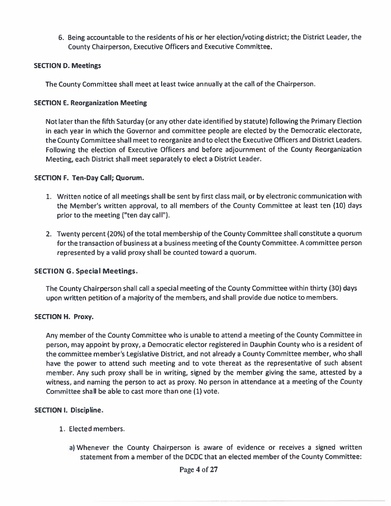6. Being accountable to the residents of his or her election/voting district; the District Leader, the County Chairperson, Executive Officers and Executive Committee.

#### **SECTION D. Meetings**

The County Committee shall meet at least twice annually at the call of the Chairperson.

#### SECTION E. Reorganization Meeting

Not later than the fifth Saturday (or any other date identified by statute) following the Primary Election in each year in which the Governor and committee people are elected by the Democratic electorate, the County Committee shall meet to reorganize and to elect the Executive Officers and District Leaders. Following the election of Executive Officers and before adjournment of the County Reorganization Meeting, each District shall meet separately to elect <sup>a</sup> District Leader.

#### SECTION F. Ten-Day Call; Quorum.

- 1. Written notice of all meetings shall be sent by first class mail, or by electronic communication with the Member's written approval, to all members of the County Committee at least ten (10) days prior to the meeting ("ten day call').
- 2. Twenty percen<sup>t</sup> (20%) of the total membership of the County Committee shall constitute <sup>a</sup> quorum for the transaction of business at <sup>a</sup> business meeting of the County Committee. A committee person represented by <sup>a</sup> valid proxy shall be counted toward <sup>a</sup> quorum.

#### SECTION 6. Special Meetings.

The County Chairperson shall call <sup>a</sup> special meeting of the County Committee within thirty (30) days upon written petition of <sup>a</sup> majority of the members, and shall provide due notice to members.

#### SECTION H. Proxy.

Any member of the County Committee who is unable to attend <sup>a</sup> meeting of the County Committee in person, may appoint by proxy, <sup>a</sup> Democratic elector registered in Dauphin County who is <sup>a</sup> resident of the committee member's Legislative District, and not already <sup>a</sup> County Committee member, who shall have the power to attend such meeting and to vote thereat as the representative of such absent member. Any such proxy shall be in writing, signed by the member giving the same, attested by a witness, and naming the person to act as proxy. No person in attendance at <sup>a</sup> meeting of the County Committee shall be able to cast more than one (1) vote.

#### SECTION I. Discipline.

- 1. Elected members.
	- a) Whenever the County Chairperson is aware of evidence or receives <sup>a</sup> signed written statement from <sup>a</sup> member of the DCDC that an elected member of the County Committee: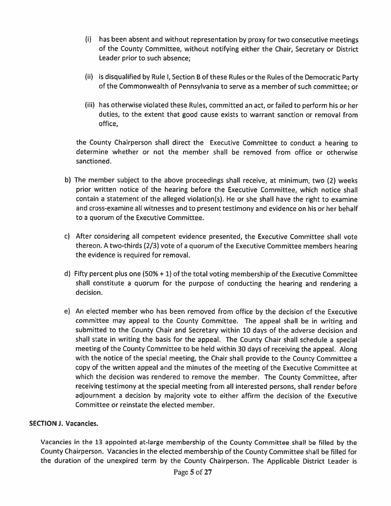- (i) has been absent and without representation by proxy for two consecutive meetings of the County Committee, without notifying either the Chair, Secretary or District Leader prior to such absence;
- (ii) is disqualified by Rule I, Section <sup>B</sup> of these Rules or the Rules of the Democratic Party of the Commonwealth of Pennsylvania to serve as <sup>a</sup> member of such committee; or
- (iii) has otherwise violated these Rules, committed an act, or failed to perform his or her duties, to the extent that good cause exists to warrant sanction or removal from office,

the County Chairperson shall direct the Executive Committee to conduct <sup>a</sup> hearing to determine whether or not the member shall be removed from office or otherwise sanctioned.

- b) The member subject to the above proceedings shall receive, at minimum, two (2) weeks prior written notice of the hearing before the Executive Committee, which notice shall contain <sup>a</sup> statement of the alleged violation(s). He or she shall have the right to examine and cross-examine all witnesses and to presen<sup>t</sup> testimony and evidence on his or her behalf to <sup>a</sup> quorum of the Executive Committee.
- c) After considering all competent evidence presented, the Executive Committee shall vote thereon. <sup>A</sup> two-thirds (2/3) vote of <sup>a</sup> quorum of the Executive Committee members hearing the evidence is required for removal.
- d) Fifty percen<sup>t</sup> <sup>p</sup>lus one (50% <sup>+</sup> 1) of the total voting membership of the Executive Committee shall constitute <sup>a</sup> quorum for the purpose of conducting the hearing and rendering <sup>a</sup> decision.
- e) An elected member who has been removed from office by the decision of the Executive committee may appea<sup>l</sup> to the County Committee. The appea<sup>l</sup> shall be in writing and submitted to the County Chair and Secretary within <sup>10</sup> days of the adverse decision and shall state in writing the basis for the appeal. The County Chair shall schedule <sup>a</sup> special meeting of the County Committee to be held within <sup>30</sup> days of receiving the appeal. Along with the notice of the special meeting, the Chair shall provide to the County Committee <sup>a</sup> copy of the written appeal and the minutes of the meeting of the Executive Committee at which the decision was rendered to remove the member. The County Committee, after receiving testimony at the special meeting from all interested persons, shall render before adjournment <sup>a</sup> decision by majority vote to either affirm the decision of the Executive Committee or reinstate the elected member.

#### SECTION J. Vacancies.

Vacancies in the <sup>13</sup> appointed at-large membership of the County Committee shall be filled by the County Chairperson. Vacancies in the elected membership of the County Committee shall be filled for the duration of the unexpired term by the County Chairperson. The Applicable District Leader is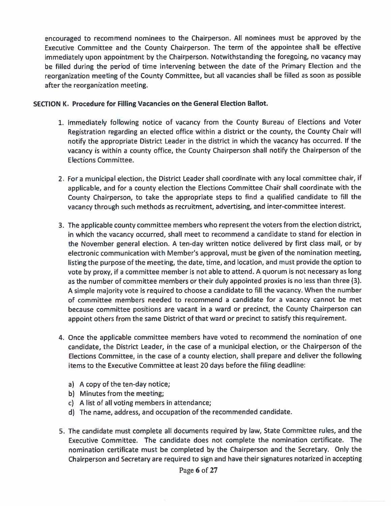encourage<sup>d</sup> to recommend nominees to the Chairperson. All nominees must be approve<sup>d</sup> by the Executive Committee and the County Chairperson. The term of the appointee shall be effective immediately upon appointment by the Chairperson. Notwithstanding the foregoing, no vacancy may be filled during the period of time intervening between the date of the Primary Election and the reorganization meeting of the County Committee, but all vacancies shall be filled as soon as possible after the reorganization meeting.

#### SECTION K. Procedure for Filling Vacancies on the General Election Ballot.

- 1. Immediately following notice of vacancy from the County Bureau of Elections and Voter Registration regarding an elected office within <sup>a</sup> district or the county, the County Chair will notify the appropriate District Leader in the district in which the vacancy has occurred. If the vacancy is within <sup>a</sup> county office, the County Chairperson shall notify the Chairperson of the Elections Committee.
- 2. For a municipal election, the District Leader shall coordinate with any local committee chair, if applicable, and for <sup>a</sup> county election the Elections Committee Chair shall coordinate with the County Chairperson, to take the appropriate steps to find <sup>a</sup> qualified candidate to fill the vacancy through such methods as recruitment, advertising, and inter-committee interest.
- 3. The applicable county committee members who represen<sup>t</sup> the voters from the election district, in which the vacancy occurred, shall meet to recommend <sup>a</sup> candidate to stand for election in the November general election. A ten-day written notice delivered by first class mail, or by electronic communication with Member's approval, must be given of the nomination meeting, listing the purpose of the meeting, the date, time, and location, and must provide the option to vote by proxy, if <sup>a</sup> committee member is not able to attend. <sup>A</sup> quorum is not necessary as long as the number of committee members or their duly appointed proxies is no less than three (3). A simple majority vote is required to choose <sup>a</sup> candidate to fill the vacancy. When the number of committee members needed to recommend <sup>a</sup> candidate for <sup>a</sup> vacancy cannot be met because committee positions are vacant in <sup>a</sup> ward or precinct, the County Chairperson can appoint others from the same District of that ward or precinct to satisfy this requirement.
- 4. Once the applicable committee members have voted to recommend the nomination of one candidate, the District Leader, in the case of <sup>a</sup> municipal election, or the Chairperson of the Elections Committee, in the case of <sup>a</sup> county election, shall prepare and deliver the following items to the Executive Committee at least 20 days before the filing deadline:
	- a) A copy of the ten-day notice;
	- b) Minutes from the meeting;
	- c) A list of all voting members in attendance;
	- d) The name, address, and occupation of the recommended candidate.
- 5. The candidate must complete all documents required by law, State Committee rules, and the Executive Committee. The candidate does not complete the nomination certificate. The nomination certificate must be completed by the Chairperson and the Secretary. Only the Chairperson and Secretary are required to sign and have their signatures notarized in accepting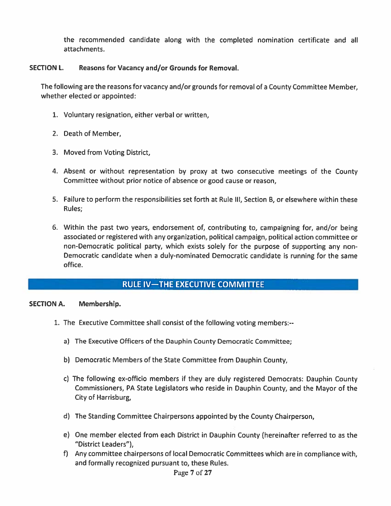the recommended candidate along with the completed nomination certificate and all attachments.

#### SECTION L. Reasons for Vacancy and/or Grounds for Removal.

The following are the reasons for vacancy and/or grounds for removal of <sup>a</sup> County Committee Member, whether elected or appointed:

- 1. Voluntary resignation, either verbal or written,
- 2. Death of Member,
- 3. Moved from Voting District,
- 4. Absent or without representation by proxy at two consecutive meetings of the County Committee without prior notice of absence or good cause or reason,
- 5. Failure to perform the responsibilities set forth at Rule Ill, Section B, or elsewhere within these Rules;
- 6. Within the pas<sup>t</sup> two years, endorsement of, contributing to, campaigning for, and/or being associated or registered with any organization, political campaign, political action committee or non-Democratic political party, which exists solely for the purpose of supporting any non Democratic candidate when <sup>a</sup> duly-nominated Democratic candidate is running for the same the recommended candidate along with the completed nomination certificate and all<br>
stachments.<br>
Reasons for Vacancy and/or Grounds for Removal.<br>
Nowing are the reasons for vacancy and/or grounds for removal of a County Com

#### SECTION A. Membership.

- 1. The Executive Committee shall consist of the following voting members:
	- a) The Executive Officers of the Dauphin County Democratic Committee;
	- b) Democratic Members of the State Committee from Dauphin County,
	- c) The following ex-officio members if they are duly registered Democrats: Dauphin County Commissioners, PA State Legislators who reside in Dauphin County, and the Mayor of the City of Harrisburg,
	- d) The Standing Committee Chairpersons appointed by the County Chairperson,
	- e) One member elected from each District in Dauphin County (hereinafter referred to as the "District Leaders"),
	- f) Any committee chairpersons of local Democratic Committees which are in compliance with, and formally recognized pursuan<sup>t</sup> to, these Rules.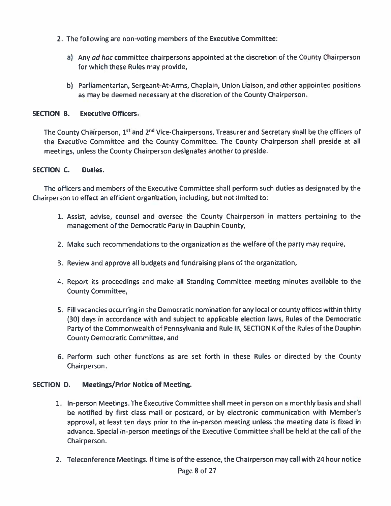- 2. The following are non-voting members of the Executive Committee:
	- a) Any *ad hoc* committee chairpersons appointed at the discretion of the County Chairperson for which these Rules may provide,
	- b) Parliamentarian, Sergeant-At-Arms, Chaplain, Union Liaison, and other appointed positions as may be deemed necessary at the discretion of the County Chairperson.

#### SECTION B. **Executive Officers.**

The County Chairperson, 1st and 2<sup>nd</sup> Vice-Chairpersons, Treasurer and Secretary shall be the officers of the Executive Committee and the County Committee. The County Chairperson shall preside at all meetings, unless the County Chairperson designates another to preside.

#### SECTION C. Duties.

The officers and members of the Executive Committee shall perform such duties as designated by the Chairperson to effect an efficient organization, including, but not limited to:

- 1. Assist, advise, counsel and oversee the County Chairperson in matters pertaining to the managemen<sup>t</sup> of the Democratic Party in Dauphin County,
- 2. Make such recommendations to the organization as the welfare of the party may require,
- 3. Review and approve all budgets and fundraising plans of the organization,
- 4. Report its proceedings and make all Standing Committee meeting minutes available to the County Committee,
- 5. Fill vacancies occurring in the Democratic nomination for any local or county offices within thirty (30) days in accordance with and subject to applicable election laws, Rules of the Democratic Party of the Commonwealth of Pennsylvania and Rule Ill, SECTION K of the Rules of the Dauphin County Democratic Committee, and
- 6. Perform such other functions as are set forth in these Rules or directed by the County Chairperson.

#### SECTION D. Meetings/Prior Notice of Meeting.

- 1. In-person Meetings. The Executive Committee shall meet in person on <sup>a</sup> monthly basis and shall be notified by first class mail or postcard, or by electronic communication with Member's approval, at least ten days prior to the in-person meeting unless the meeting date is fixed in advance. Special in-person meetings of the Executive Committee shall be held at the call of the Chairperson.
- 2. Teleconference Meetings. If time is of the essence, the Chairperson may call with 24 hour notice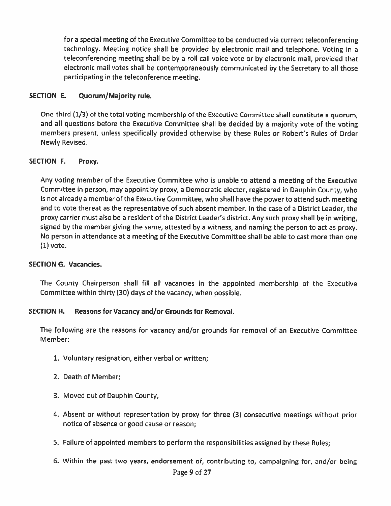for <sup>a</sup> special meeting of the Executive Committee to be conducted via current teleconferencing technology. Meeting notice shall be provided by electronic mail and telephone. Voting in <sup>a</sup> teleconferencing meeting shall be by <sup>a</sup> roll call voice vote or by electronic mail, provided that electronic mail votes shall be contemporaneously communicated by the Secretary to all those participating in the teleconference meeting.

#### SECTION E. Quorum/Majority rule.

One-third (1/3) of the total voting membership of the Executive Committee shall constitute <sup>a</sup> quorum, and all questions before the Executive Committee shall be decided by <sup>a</sup> majority vote of the voting members present, unless specifically provided otherwise by these Rules or Robert's Rules of Order Newly Revised.

#### SECTION F. Proxy.

Any voting member of the Executive Committee who is unable to attend <sup>a</sup> meeting of the Executive Committee in person, may appoint by proxy, <sup>a</sup> Democratic elector, registered in Dauphin County, who is not already <sup>a</sup> member of the Executive Committee, who shall have the power to attend such meeting and to vote thereat as the representative of such absent member. In the case of <sup>a</sup> District Leader, the proxy carrier must also be <sup>a</sup> resident of the District Leader's district. Any such proxy shall be in writing, signed by the member <sup>g</sup>iving the same, attested by <sup>a</sup> witness, and naming the person to act as proxy. No person in attendance at <sup>a</sup> meeting of the Executive Committee shall be able to cast more than one (1) vote.

#### SECTION G. Vacancies.

The County Chairperson shall fill all vacancies in the appointed membership of the Executive Committee within thirty (30) days of the vacancy, when possible.

#### SECTION H. Reasons for Vacancy and/or Grounds for Removal.

The following are the reasons for vacancy and/or grounds for removal of an Executive Committee Member:

- 1. Voluntary resignation, either verbal or written;
- 2. Death of Member;
- 3. Moved out of Dauphin County;
- 4. Absent or without representation by proxy for three (3) consecutive meetings without prior notice of absence or good cause or reason;
- 5. Failure of appointed members to perform the responsibilities assigned by these Rules;
- 6. Within the pas<sup>t</sup> two years, endorsement of, contributing to, campaigning for, and/or being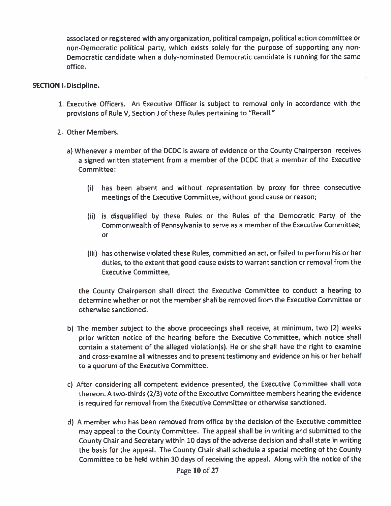associated or registered with any organization, political campaign, political action committee or non-Democratic political party, which exists solely for the purpose of supporting any non Democratic candidate when <sup>a</sup> duly-nominated Democratic candidate is running for the same office.

#### SECTION I. Discipline.

- 1. Executive Officers. An Executive Officer is subject to removal only in accordance with the provisions of Rule V, Section <sup>J</sup> of these Rules pertaining to "Recall."
- 2. Other Members.
	- a) Whenever <sup>a</sup> member of the DCDC is aware of evidence or the County Chairperson receives a signed written statement from <sup>a</sup> member of the DCDC that <sup>a</sup> member of the Executive Committee:
		- (i) has been absent and without representation by proxy for three consecutive meetings of the Executive Committee, without good cause or reason;
		- (ii) is disqualified by these Rules or the Rules of the Democratic Party of the Commonwealth of Pennsylvania to serve as <sup>a</sup> member of the Executive Committee; or
		- (iii) has otherwise violated these Rules, committed an act, or failed to perform his or her duties, to the extent that good cause exists to warrant sanction or removal from the Executive Committee,

the County Chairperson shall direct the Executive Committee to conduct <sup>a</sup> hearing to determine whether or not the member shall be removed from the Executive Committee or otherwise sanctioned.

- b) The member subject to the above proceedings shall receive, at minimum, two (2) weeks prior written notice of the hearing before the Executive Committee, which notice shall contain a statement of the alleged violation(s). He or she shall have the right to examine and cross-examine all witnesses and to presen<sup>t</sup> testimony and evidence on his or her behalf to <sup>a</sup> quorum of the Executive Committee.
- c) After considering all competent evidence presented, the Executive Committee shall vote thereon. A two-thirds (2/3) vote of the Executive Committee members hearing the evidence is required for removal from the Executive Committee or otherwise sanctioned.
- d) <sup>A</sup> member who has been removed from office by the decision of the Executive committee may appea<sup>l</sup> to the County Committee. The appea<sup>l</sup> shall be in writing and submitted to the County Chair and Secretary within 10 days of the adverse decision and shall state in writing the basis for the appeal. The County Chair shall schedule <sup>a</sup> special meeting of the County Committee to be held within 30 days of receiving the appeal. Along with the notice of the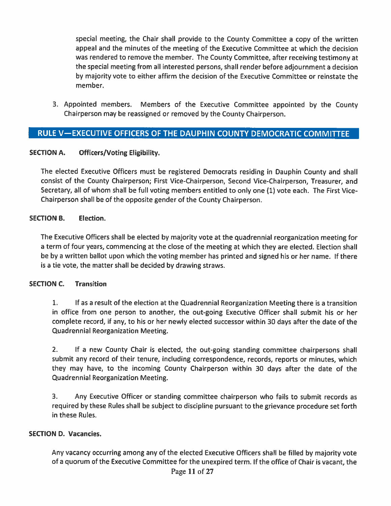special meeting, the Chair shall provide to the County Committee <sup>a</sup> copy of the written appeal and the minutes of the meeting of the Executive Committee at which the decision was rendered to remove the member. The County Committee, after receiving testimony at the special meeting from all interested persons, shall render before adjournment <sup>a</sup> decision by majority vote to either affirm the decision of the Executive Committee or reinstate the member.

3. Appointed members. Members of the Executive Committee appointed by the County Chairperson may be reassigned or removed by the County Chairperson.

## RULE V—EXECUTIVE OFFICERS OF THE DAUPHIN COUNTY DEMOCRATIC COMMITTEE

#### SECTION A. Officers/Voting Eligibility.

The elected Executive Officers must be registered Democrats residing in Dauphin County and shall consist of the County Chairperson; First Vice-Chairperson, Second Vice-Chairperson, Treasurer, and Secretary, all of whom shall be full voting members entitled to only one (1) vote each. The First Vice-Chairperson shall be of the opposite gender of the County Chairperson.

#### SECTION B. Election.

The Executive Officers shall be elected by majority vote at the quadrennial reorganization meeting for <sup>a</sup> term of four years, commencing at the close of the meeting at which they are elected. Election shall be by <sup>a</sup> written ballot upon which the voting member has printed and signed his or her name. If there is <sup>a</sup> tie vote, the matter shall be decided by drawing straws.

#### SECTION C. Transition

1. If as <sup>a</sup> result of the election at the Quadrennial Reorganization Meeting there is <sup>a</sup> transition in office from one person to another, the out-going Executive Officer shall submit his or her complete record, if any, to his or her newly elected successor within 30 days after the date of the Quadrennial Reorganization Meeting.

2. If <sup>a</sup> new County Chair is elected, the out-going standing committee chairpersons shall submit any record of their tenure, including correspondence, records, reports or minutes, which they may have, to the incoming County Chairperson within 30 days after the date of the Quadrennial Reorganization Meeting.

3. Any Executive Officer or standing committee chairperson who fails to submit records as required by these Rules shall be subject to discipline pursuan<sup>t</sup> to the grievance procedure set forth in these Rules.

#### SECTION D. Vacancies.

Any vacancy occurring among any of the elected Executive Officers shall be filled by majority vote of <sup>a</sup> quorum of the Executive Committee for the unexpired term. If the office of Chair is vacant, the Page  $11$  of  $27$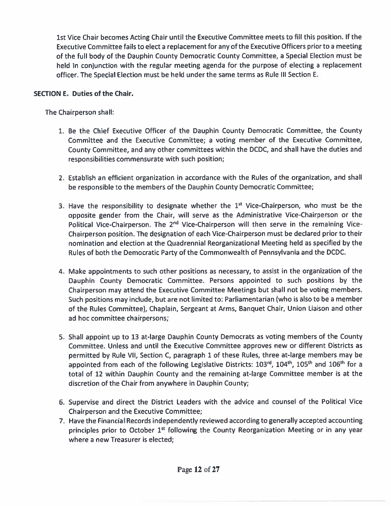1st Vice Chair becomes Acting Chair until the Executive Committee meets to fill this position. If the Executive Committee fails to elect <sup>a</sup> replacement for any of the Executive Officers prior to <sup>a</sup> meeting of the full body of the Dauphin County Democratic County Committee, <sup>a</sup> Special Election must be held in conjunction with the regular meeting agenda for the purpose of electing <sup>a</sup> replacement officer. The Special Election must be held under the same terms as Rule Ill Section E.

#### SECTION E. Duties of the Chair.

The Chairperson shall:

- 1. Be the Chief Executive Officer of the Dauphin County Democratic Committee, the County Committee and the Executive Committee; <sup>a</sup> voting member of the Executive Committee, County Committee, and any other committees within the DCDC, and shall have the duties and responsibilities commensurate with such position;
- 2. Establish an efficient organization in accordance with the Rules of the organization, and shall be responsible to the members of the Dauphin County Democratic Committee;
- 3. Have the responsibility to designate whether the  $1<sup>st</sup>$  Vice-Chairperson, who must be the opposite gender from the Chair, will serve as the Administrative Vice-Chairperson or the Political Vice-Chairperson. The 2<sup>nd</sup> Vice-Chairperson will then serve in the remaining Vice-Chairperson position. The designation of each Vice-Chairperson must be declared prior to their nomination and election at the Quadrennial Reorganizational Meeting held as specified by the Rules of both the Democratic Party of the Commonwealth of Pennsylvania and the DCDC.
- 4. Make appointments to such other positions as necessary, to assist in the organization of the Dauphin County Democratic Committee. Persons appointed to such positions by the Chairperson may attend the Executive Committee Meetings but shall not be voting members. Such positions may include, but are not limited to: Parliamentarian (who is also to be <sup>a</sup> member of the Rules Committee), Chaplain, Sergeant at Arms, Banquet Chair, Union Liaison and other ad hoc committee chairpersons;
- S. Shall appoint up to <sup>13</sup> at-large Dauphin County Democrats as voting members of the County Committee. Unless and until the Executive Committee approves new or different Districts as permitted by Rule VII, Section C, paragrap<sup>h</sup> <sup>1</sup> of these Rules, three at-large members may be appointed from each of the following Legislative Districts:  $103^{rd}$ ,  $104^{th}$ ,  $105^{th}$  and  $106^{th}$  for a total of 12 within Dauphin County and the remaining at-large Committee member is at the discretion of the Chair from anywhere in Dauphin County;
- 6. Supervise and direct the District Leaders with the advice and counsel of the Political Vice Chairperson and the Executive Committee;
- 7. Have the Financial Records independently reviewed according to generally accepted accounting principles prior to October 1<sup>st</sup> following the County Reorganization Meeting or in any year where a new Treasurer is elected;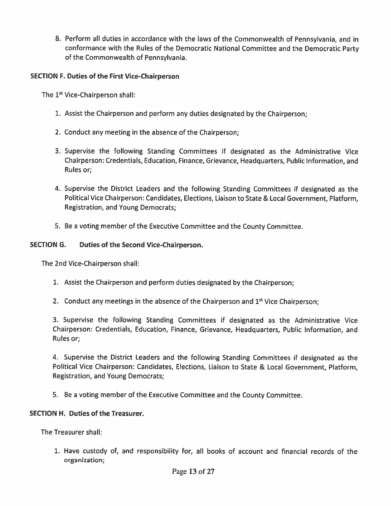8. Perform all duties in accordance with the laws of the Commonwealth of Pennsylvania, and in conformance with the Rules of the Democratic National Committee and the Democratic Party of the Commonwealth of Pennsylvania.

#### SECTION F. Duties of the First Vice-Chairperson

The 1<sup>st</sup> Vice-Chairperson shall:

- 1. Assist the Chairperson and perform any duties designated by the Chairperson;
- 2. Conduct any meeting in the absence of the Chairperson;
- 3. Supervise the following Standing Committees if designated as the Administrative Vice Chairperson: Credentials, Education, Finance, Grievance, Headquarters, Public Information, and Rules or;
- 4. Supervise the District Leaders and the following Standing Committees if designated as the Political Vice Chairperson: Candidates, Elections, Liaison to State & Local Government, Platform, Registration, and Young Democrats;
- 5. Be <sup>a</sup> voting member of the Executive Committee and the County Committee.

#### SECTION G. Duties of the Second Vice-Chairperson.

The 2nd Vice-Chairperson shall:

- 1. Assist the Chairperson and perform duties designated by the Chairperson;
- 2. Conduct any meetings in the absence of the Chairperson and  $1<sup>st</sup>$  Vice Chairperson;

3. Supervise the following Standing Committees if designated as the Administrative Vice Chairperson: Credentials, Education, Finance, Grievance, Headquarters, Public Information, and Rules or;

4. Supervise the District Leaders and the following Standing Committees if designated as the Political Vice Chairperson: Candidates, Elections, Liaison to State & Local Government, Platform, Registration, and Young Democrats;

5. Be <sup>a</sup> voting member of the Executive Committee and the County Committee.

#### SECTION H. Duties of the Treasurer.

The Treasurer shall:

1. Have custody of, and responsibility for, all books of account and financial records of the organization;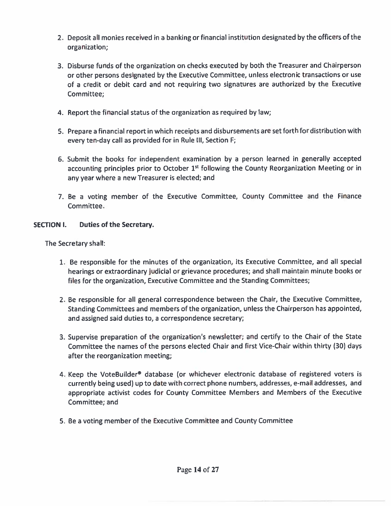- 2. Deposit all monies received in <sup>a</sup> banking or financial institution designated by the officers of the organization;
- 3. Disburse funds of the organization on checks executed by both the Treasurer and Chairperson or other persons designated by the Executive Committee, unless electronic transactions or use of a credit or debit card and not requiring two signatures are authorized by the Executive Committee;
- 4. Report the financial status of the organization as required by law;
- 5. Prepare <sup>a</sup> financial repor<sup>t</sup> in which receipts and disbursements are set forth for distribution with every ten-day call as provided for in Rule Ill, Section F;
- 6. Submit the books for independent examination by <sup>a</sup> person learned in generally accepted accounting principles prior to October  $1<sup>st</sup>$  following the County Reorganization Meeting or in any year where <sup>a</sup> new Treasurer is elected; and
- 7. Be <sup>a</sup> voting member of the Executive Committee, County Committee and the Finance Committee.

#### SECTION I. Duties of the Secretary.

The Secretary shall:

- 1. Be responsible for the minutes of the organization, its Executive Committee, and all special hearings or extraordinary judicial or grievance procedures; and shall maintain minute books or files for the organization, Executive Committee and the Standing Committees;
- 2. Be responsible for all general correspondence between the Chair, the Executive Committee, Standing Committees and members of the organization, unless the Chairperson has appointed, and assigned said duties to, <sup>a</sup> correspondence secretary;
- 3. Supervise preparation of the organization's newsletter; and certify to the Chair of the State Committee the names of the persons elected Chair and first Vice-Chair within thirty (30) days after the reorganization meeting;
- 4. Keep the VoteBuilder® database (or whichever electronic database of registered voters is currently being used) up to date with correct <sup>p</sup>hone numbers, addresses, e-mail addresses, and appropriate activist codes for County Committee Members and Members of the Executive Committee; and
- 5. Be <sup>a</sup> voting member of the Executive Committee and County Committee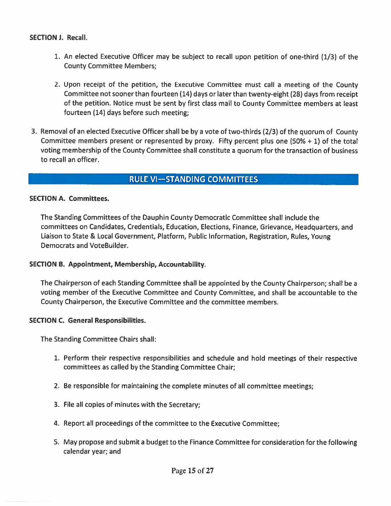#### SECTION J. Recall.

- 1. An elected Executive Officer may be subject to recall upon petition of one-third (1/3) of the County Committee Members;
- 2. Upon receipt of the petition, the Executive Committee must call <sup>a</sup> meeting of the County Committee not sooner than fourteen (14) days or later than twenty-eight (28) days from receipt of the petition. Notice must be sent by first class mail to County Committee members at least fourteen (14) days before such meeting;
- 3. Removal of an elected Executive Officer shall be by <sup>a</sup> vote of two-thirds (2/3) of the quorum of County Committee members presen<sup>t</sup> or represented by proxy. Fifty percen<sup>t</sup> <sup>p</sup>lus one (50% <sup>+</sup> 1) of the total voting membership of the County Committee shall constitute <sup>a</sup> quorum for the transaction of business to recall an officer.

## RULE VI-STANDING COMMITTEES

#### SECTION A. Committees.

The Standing Committees of the Dauphin County Democratic Committee shall include the committees on Candidates, Credentials, Education, Elections, Finance, Grievance, Headquarters, and Liaison to State & Local Government, Platform, Public Information, Registration, Rules, Young Democrats and VoteBuilder.

#### SECTION B. Appointment, Membership, Accountability.

The Chairperson of each Standing Committee shall be appointed by the County Chairperson; shall be <sup>a</sup> voting member of the Executive Committee and County Committee, and shall be accountable to the County Chairperson, the Executive Committee and the committee members.

#### SECTION C. General Responsibilities.

The Standing Committee Chairs shall:

- 1. Perform their respective responsibilities and schedule and hold meetings of their respective committees as called by the Standing Committee Chair;
- 2. Be responsible for maintaining the complete minutes of all committee meetings;
- 3. File all copies of minutes with the Secretary;
- 4. Report all proceedings of the committee to the Executive Committee;
- 5. May propose and submit <sup>a</sup> budget to the Finance Committee for consideration for the following calendar year; and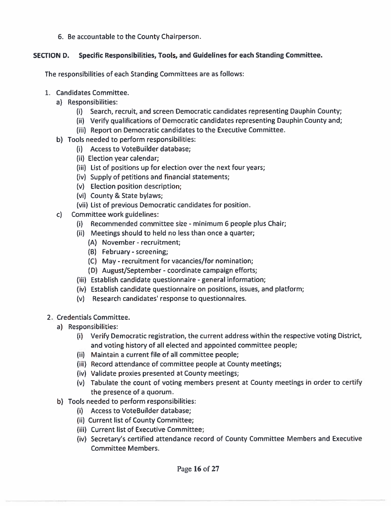6. Be accountable to the County Chairperson.

#### SECTION D. Specific Responsibilities, Tools, and Guidelines for each Standing Committee.

The responsibilities of each Standing Committees are as follows:

- 1. Candidates Committee.
	- a) Responsibilities:
		- (i) Search, recruit, and screen Democratic candidates representing Dauphin County;
		- (ii) Verify qualifications of Democratic candidates representing Dauphin County and;
		- (iii) Report on Democratic candidates to the Executive Committee.
	- b) Tools needed to perform responsibilities:
		- (i) Access to VoteBuilder database;
		- (ii) Election year calendar;
		- (iii) List of positions up for election over the next four years;
		- (iv) Supply of petitions and financial statements;
		- (v) Election position description;
		- (vi) County & State bylaws;
		- (vii) List of previous Democratic candidates for position.
	- c) Committee work guidelines:
		- (i) Recommended committee size -minimum 6 people plus Chair;
		- (ii) Meetings should to held no less than once <sup>a</sup> quarter;
			- (A) November recruitment;
			- (B) February -screening;
			- (C) May recruitment for vacancies/for nomination;
			- (D) August/September coordinate campaign efforts;
		- (iii) Establish candidate questionnaire general information;
		- (iv) Establish candidate questionnaire on positions, issues, and platform;
		- (v) Research candidates' response to questionnaires.
- 2. Credentials Committee.
	- a) Responsibilities:
		- (i) Verify Democratic registration, the current address within the respective voting District, and voting history of all elected and appointed committee people;
		- (ii) Maintain <sup>a</sup> current file of all committee people;
		- (iii) Record attendance of committee people at County meetings;
		- (iv) Validate proxies presented at County meetings;
		- (v) Tabulate the count of voting members presen<sup>t</sup> at County meetings in order to certify the presence of <sup>a</sup> quorum.
	- b) Tools needed to perform responsibilities:
		- (i) Access to VoteBuilder database;
		- (ii) Current list of County Committee;
		- (iii) Current list of Executive Committee;
		- (iv) Secretary's certified attendance record of County Committee Members and Executive Committee Members.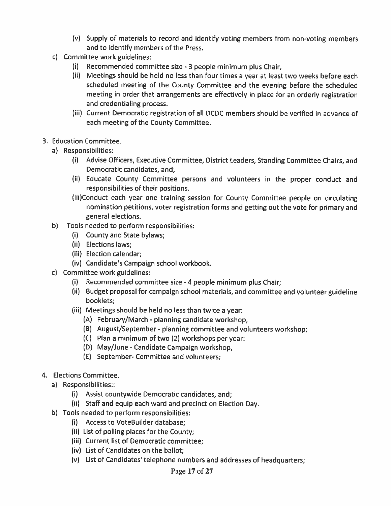- (v) Supply of materials to record and identify voting members from non-voting members and to identify members of the Press.
- c) Committee work guidelines:
	- (i) Recommended committee size <sup>3</sup> people minimum <sup>p</sup>lus Chair,
	- (ii) Meetings should be held no less than four times <sup>a</sup> year at least two weeks before each scheduled meeting of the County Committee and the evening before the scheduled meeting in order that arrangements are effectively in <sup>p</sup>lace for an orderly registration and credentialing process.
	- (iii) Current Democratic registration of all DCDC members should be verified in advance of each meeting of the County Committee.
- 3. Education Committee.
	- a) Responsibilities:
		- (i) Advise Officers, Executive Committee, District Leaders, Standing Committee Chairs, and Democratic candidates, and;
		- (ii) Educate County Committee persons and volunteers in the proper conduct and responsibilities of their positions.
		- (iii)Conduct each year one training session for County Committee people on circulating nomination petitions, voter registration forms and getting out the vote for primary and general elections.
	- b) Tools needed to perform responsibilities:
		- (i) County and State bylaws;
		- (ii) Elections laws;
		- (iii) Election calendar;
		- (iv) Candidate's Campaign school workbook.
	- c) Committee work guidelines:
		- (i) Recommended committee size -4 people minimum <sup>p</sup>lus Chair;
		- (ii) Budget proposal for campaign school materials, and committee and volunteer guideline booklets;
		- (iii) Meetings should be held no less than twice <sup>a</sup> year:
			- (A) February/March planning candidate workshop,
			- (B) August/September <sup>p</sup>lanning committee and volunteers workshop;
			- (C) Plan <sup>a</sup> minimum of two (2) workshops per year:
			- (D) May/June -Candidate Campaign workshop,
			- (E) September- Committee and volunteers;
- 4. Elections Committee.
	- a) Responsibilities::
		- (i) Assist countywide Democratic candidates, and;
		- (ii) Staff and equip each ward and precinct on Election Day.
	- b) Tools needed to perform responsibilities:
		- (i) Access to VoteBuilder database;
		- (ii) List of polling <sup>p</sup>laces for the County;
		- (iii) Current list of Democratic committee;
		- (iv) List of Candidates on the ballot;
		- (v) List of Candidates' telephone numbers and addresses of headquarters;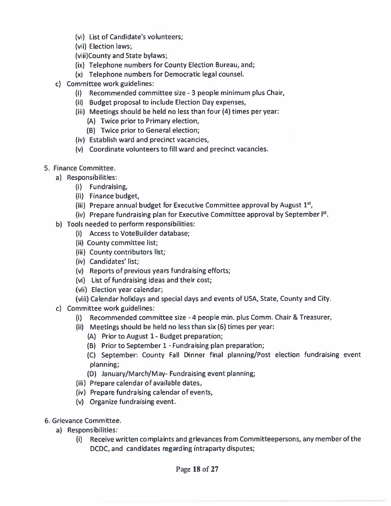- (vi) List of Candidate's volunteers;
- (vii) Election laws;

(viii)County and State bylaws;

- (ix) Telephone numbers for County Election Bureau, and;
- (x) Telephone numbers for Democratic legal counsel.
- c) Committee work guidelines:
	- (i) Recommended committee size 3 people minimum plus Chair,
	- (ii) Budget proposal to include Election Day expenses,
	- (iii) Meetings should be held no less than four (4) times per year:
		- (A) Twice prior to Primary election,
		- (B) Twice prior to General election;
	- (iv) Establish ward and precinct vacancies,
	- (v) Coordinate volunteers to fill ward and precinct vacancies.
- 5. Finance Committee.
	- a) Responsibilities:
		- (i) Fundraising,
		- (ii) Finance budget,
		- (iii) Prepare annual budget for Executive Committee approval by August  $1<sup>st</sup>$ ,
		- (iv) Prepare fundraising plan for Executive Committee approval by September  $I<sup>st</sup>$ .
	- b) Tools needed to perform responsibilities:
		- (i) Access to VoteBuilder database;
		- (ii) County committee list;
		- (iii) County contributors list;
		- (iv) Candidates' list;
		- (v) Reports of previous years fundraising efforts;
		- (vi) List of fundraising ideas and their cost;
		- (vii) Election year calendar;
		- (viii) Calendar holidays and special days and events of USA, State, County and City.
	- c) Committee work guidelines:
		- (i) Recommended committee size -4 people mm. plus Comm. Chair & Treasurer,
		- (ii) Meetings should be held no less than six (6) times per year:
			- (A) Prior to August 1- Budget preparation;
			- (B) Prior to September 1- Fundraising plan preparation;
			- (C) September: County Fall Dinner final planning/Post election fundraising event planning;
			- (D) January/March/May- Fundraising event planning;
		- $(iii)$  Prepare calendar of available dates,
		- (iv) Prepare fundraising calendar of events,
		- (v) Organize fundraising event.
- 6. Grievance Committee.
	- a) Responsibilities:
		- (i) Receive written complaints and grievances from Committeepersons, any member of the DCDC, and candidates regarding intraparty disputes;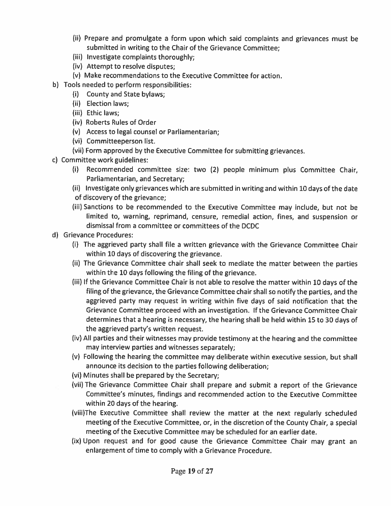- (ii) Prepare and promulgate <sup>a</sup> form upon which said complaints and grievances must be submitted in writing to the Chair of the Grievance Committee;
- (iii) Investigate complaints thoroughly;
- (iv) Attempt to resolve disputes;
- (v) Make recommendations to the Executive Committee for action.
- b) Tools needed to perform responsibilities:
	- (i) County and State bylaws;
	- (ii) Election laws;
	- (iii) Ethic laws;
	- (iv) Roberts Rules of Order
	- (v) Access to legal counsel or Parliamentarian;
	- (vi) Committeeperson list.
	- (vii) Form approved by the Executive Committee for submitting grievances.
- c) Committee work guidelines:
	- (i) Recommended committee size: two (2) people minimum <sup>p</sup>lus Committee Chair, Parliamentarian, and Secretary;
	- (ii) Investigate only grievances which are submitted in writing and within <sup>10</sup> days of the date
	- of discovery of the grievance;
	- (iii) Sanctions to be recommended to the Executive Committee may include, but not be limited to, warning, reprimand, censure, remedial action, fines, and suspension or dismissal from <sup>a</sup> committee or committees of the DCDC
- d) Grievance Procedures:
	- (i) The aggrieved party shall file <sup>a</sup> written grievance with the Grievance Committee Chair within 10 days of discovering the grievance.
	- (ii) The Grievance Committee chair shall seek to mediate the matter between the parties within the 10 days following the filing of the grievance.
	- (iii) If the Grievance Committee Chair is not able to resolve the matter within 10 days of the filing of the grievance, the Grievance Committee chair shall so notify the parties, and the aggrieved party may reques<sup>t</sup> in writing within five days of said notification that the Grievance Committee proceed with an investigation. If the Grievance Committee Chair determines that <sup>a</sup> hearing is necessary, the hearing shall be held within <sup>15</sup> to <sup>30</sup> days of the aggrieved party's written request.
	- (iv) All parties and their witnesses may provide testimony at the hearing and the committee may interview parties and witnesses separately;
	- (v) Following the hearing the committee may deliberate within executive session, but shall announce its decision to the parties following deliberation;
	- (vi) Minutes shall be prepared by the Secretary;
	- (vii) The Grievance Committee Chair shall prepare and submit <sup>a</sup> repor<sup>t</sup> of the Grievance Committee's minutes, findings and recommended action to the Executive Committee within 20 days of the hearing.
	- (viii)The Executive Committee shall review the matter at the next regularly scheduled meeting of the Executive Committee, or, in the discretion of the County Chair, <sup>a</sup> special meeting of the Executive Committee may be scheduled for an earlier date.
	- (ix) Upon reques<sup>t</sup> and for goo<sup>d</sup> cause the Grievance Committee Chair may gran<sup>t</sup> an enlargement of time to comply with <sup>a</sup> Grievance Procedure.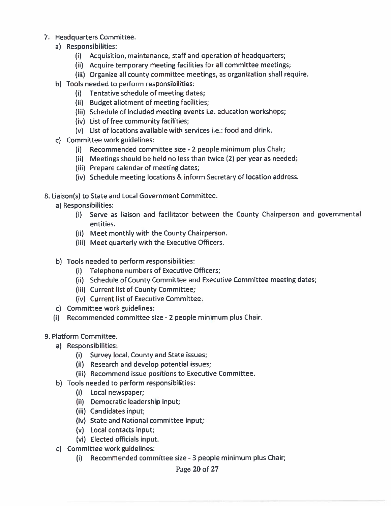- 7. Headquarters Committee.
	- a) Responsibilities:
		- (I) Acquisition, maintenance, staff and operation of headquarters;
		- (ii) Acquire temporary meeting facilities for all committee meetings;
		- (iii) Organize all county committee meetings, as organization shall require.
	- b) Tools needed to perform responsibilities:
		- (i) Tentative schedule of meeting dates;
		- (ii) Budget allotment of meeting facilities;
		- (iii) Schedule of included meeting events i.e. education workshops;
		- (iv) List of free community facilities;
		- (v) List of locations available with services i.e.: food and drink.
	- c) Committee work guidelines:
		- (i) Recommended committee size -2 people minimum plus Chair;
		- (ii) Meetings should be held no less than twice  $(2)$  per year as needed;
		- (iii) Prepare calendar of meeting dates;
		- (iv) Schedule meeting locations & inform Secretary of location address.
- 8. Liaison(s) to State and Local Government Committee.
	- a) Responsibilities:
		- (i) Serve as liaison and facilitator between the County Chairperson and governmental entities.
		- (ii) Meet monthly with the County Chairperson.
		- (iii) Meet quarterly with the Executive Officers.
	- b) Tools needed to perform responsibilities:
		- (i) Telephone numbers of Executive Officers;
		- (ii) Schedule of County Committee and Executive Committee meeting dates;
		- (iii) Current list of County Committee;
		- (iv) Current list of Executive Committee.
	- c) Committee work guidelines:
	- (i) Recommended committee size 2 people minimum plus Chair.
- 9. Platform Committee.
	- a) Responsibilities:
		- (i) Survey local, County and State issues;
		- (ii) Research and develop potential issues;
		- (iii) Recommend issue positions to Executive Committee.
	- b) Tools needed to perform responsibilities:
		- (i) Local newspaper;
		- (ii) Democratic leadership input;
		- (iii) Candidates input;
		- (iv) State and National committee input;
		- (v) Local contacts input;
		- (vi) Elected officials input.
	- c) Committee work guidelines:
		- (i) Recommended committee size -3 people minimum plus Chair;

#### Page 20 of 27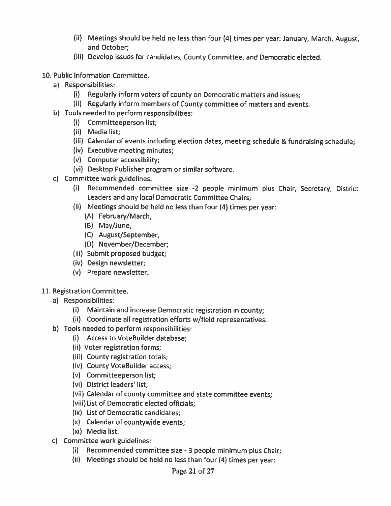- (ii) Meetings should be held no less than four (4) times per year: January, March, August, and October;
- (iii) Develop issues for candidates, County Committee, and Democratic elected.
- 10. Public Information Committee.
	- a) Responsibilities:
		- (i) Regularly inform voters of county on Democratic matters and issues;
		- (ii) Regularly inform members of County committee of matters and events.
	- b) Tools needed to perform responsibilities:
		- (i) Committeeperson list;
		- (ii) Media list;
		- (iii) Calendar of events including election dates, meeting schedule & fundraising schedule;
		- (iv) Executive meeting minutes;
		- (v) Computer accessibility;
		- (vi) Desktop Publisher program or similar software.
	- c) Committee work guidelines:
		- (i) Recommended committee size -2 people minimum <sup>p</sup>lus Chair, Secretary, District Leaders and any local Democratic Committee Chairs;
		- (ii) Meetings should be held no less than four (4) times per year:
			- (A) February/March,
			- (B) May/June,
			- (C) August/September,
			- (D) November/December;
		- (iii) Submit proposed budget;
		- (iv) Design newsletter;
		- (v) Prepare newsletter.
- 11. Registration Committee.
	- a) Responsibilities:
		- (i) Maintain and increase Democratic registration in county;
		- (ii) Coordinate all registration efforts w/field representatives.
	- b) Tools needed to perform responsibilities:
		- (i) Access to VoteBuilder database;
		- (ii) Voter registration forms;
		- (iii) County registration totals;
		- (iv) County VoteBuilder access;
		- (v) Committeeperson list;
		- (vi) District leaders' list;
		- (vii) Calendar of county committee and state committee events;
		- (viii) List of Democratic elected officials;
		- (ix) List of Democratic candidates;
		- (x) Calendar of countywide events;
		- (xi) Media list.
	- c) Committee work guidelines:
		- (i) Recommended committee size -3 people minimum <sup>p</sup>lus Chair;
		- (ii) Meetings should be held no less than four (4) times per year: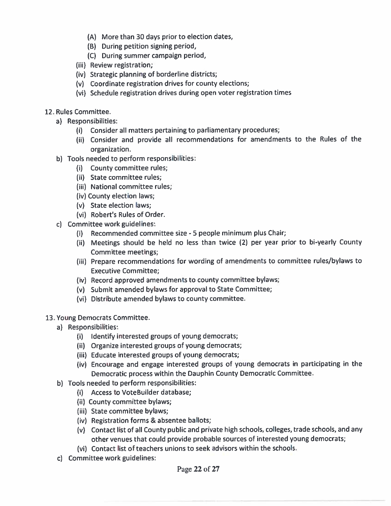- (A) More than 30 days prior to election dates,
- (B) During petition signing period,
- (C) During summer campaign period,
- (iii) Review registration;
- (iv) Strategic planning of borderline districts;
- (v) Coordinate registration drives for county elections;
- (vi) Schedule registration drives during open voter registration times
- 12. Rules Committee.
	- a) Responsibilities:
		- (i) Consider all matters pertaining to parliamentary procedures;
		- (ii) Consider and provide all recommendations for amendments to the Rules of the organization.
	- b) Tools needed to perform responsibilities:
		- (i) County committee rules;
		- (ii) State committee rules;
		- (iii) National committee rules;
		- (iv) County election laws;
		- (v) State election laws;
		- (vi) Robert's Rules of Order.
	- c) Committee work guidelines:
		- (i) Recommended committee size -S people minimum plus Chair;
		- (ii) Meetings should be held no less than twice (2) per year prior to bi-yearly County Committee meetings;
		- (iii) Prepare recommendations for wording of amendments to committee rules/bylaws to Executive Committee;
		- (iv) Record approved amendments to county committee bylaws;
		- (v) Submit amended bylaws for approval to State Committee;
		- (vi) Distribute amended bylaws to county committee.

#### 13. Young Democrats Committee.

- a) Responsibilities:
	- (i) Identify interested groups of young democrats;
	- (ii) Organize interested groups of young democrats;
	- (iii) Educate interested groups of young democrats;
	- (iv) Encourage and engage interested groups of young democrats in participating in the Democratic process within the Dauphin County Democratic Committee.
- b) Tools needed to perform responsibilities:
	- (i) Access to VoteBuilder database:
	- (ii) County committee bylaws;
	- (iii) State committee bylaws;
	- (iv) Registration forms & absentee ballots;
	- (v) Contact list of all County public and private high schools, colleges, trade schools, and any other venues that could provide probable sources of interested young democrats;
	- (vi) Contact list of teachers unions to seek advisors within the schools.
- c) Committee work guidelines: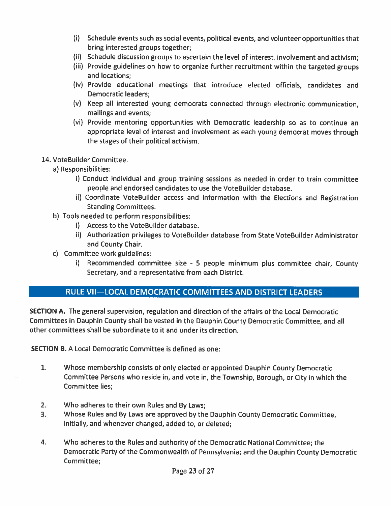- (i) Schedule events such as social events, political events, and volunteer opportunities that bring interested groups together;
- (ii) Schedule discussion groups to ascertain the level of interest, involvement and activism;
- (iii) Provide guidelines on how to organize further recruitment within the targeted groups and locations;
- (iv) Provide educational meetings that introduce elected officials, candidates and Democratic leaders;
- (v) Keep all interested young democrats connected through electronic communication, mailings and events;
- (vi) Provide mentoring opportunities with Democratic leadership so as to continue an appropriate level of interest and involvement as each young democrat moves through the stages of their political activism.

#### 14. VoteBuilder Committee.

- a) Responsibilities:
	- i) Conduct individual and group training sessions as needed in order to train committee people and endorsed candidates to use the VoteBuilder database.
	- ii) Coordinate VoteBuilder access and information with the Elections and Registration Standing Committees.
- b) Tools needed to perform responsibilities:
	- i) Access to the VoteBuilder database.
	- ii) Authorization privileges to VoteBuilder database from State VoteBuilder Administrator and County Chair.
- c) Committee work guidelines:
	- i) Recommended committee size 5 people minimum <sup>p</sup>lus committee chair, County Secretary, and <sup>a</sup> representative from each District.

## RULE Vil—LOCAL DEMOCRATIC COMMITTEES AND DISTRICT LEADERS

SECTION A. The general supervision, regulation and direction of the affairs of the Local Democratic Committees in Dauphin County shall be vested in the Dauphin County Democratic Committee, and all other committees shall be subordinate to it and under its direction.

SECTION B. A Local Democratic Committee is defined as one:

- 1. Whose membership consists of only elected or appointed Dauphin County Democratic Committee Persons who reside in, and vote in, the Township, Borough, or City in which the Committee lies;
- 2. Who adheres to their own Rules and By Laws;
- 3. Whose Rules and By Laws are approved by the Dauphin County Democratic Committee, initially, and whenever changed, added to, or deleted;
- 4. Who adheres to the Rules and authority of the Democratic National Committee; the Democratic Party of the Commonwealth of Pennsylvania; and the Dauphin County Democratic Committee;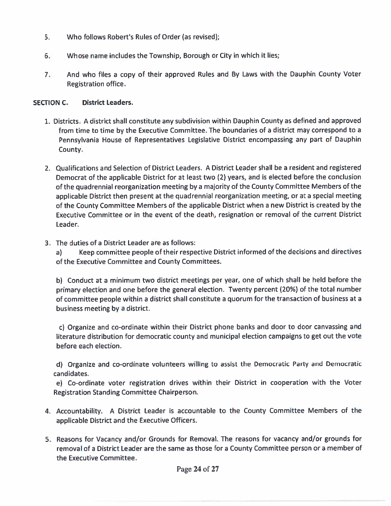- 5.. Who follows Robert's Rules of Order (as revised)
- 6.Whose name includes the Township, Borough or City in which it lies;
- 7. And who files <sup>a</sup> copy of their approved Rules and By Laws with the Dauphin County Voter Registration office.

#### SECTION C. District Leaders.

- 1. Districts. A district shall constitute any subdivision within Dauphin County as defined and approved from time to time by the Executive Committee. The boundaries of <sup>a</sup> district may correspond to <sup>a</sup> Pennsylvania House of Representatives Legislative District encompassing any par<sup>t</sup> of Dauphin County.
- 2. Qualifications and Selection of District Leaders. <sup>A</sup> District Leader shall be <sup>a</sup> resident and registered Democrat of the applicable District for at least two (2) years, and is elected before the conclusion of the quadrennial reorganization meeting by <sup>a</sup> majority of the County Committee Members of the applicable District then presen<sup>t</sup> at the quadrennial reorganization meeting, or at <sup>a</sup> special meeting of the County Committee Members of the applicable District when <sup>a</sup> new District is created by the Executive Committee or in the event of the death, resignation or removal of the current District Leader.
- 3. The duties of <sup>a</sup> District Leader are as follows:

a) Keep committee people of their respective District informed of the decisions and directives of the Executive Committee and County Committees.

b) Conduct at <sup>a</sup> minimum two district meetings per year, one of which shall be held before the primary election and one before the general election. Twenty percen<sup>t</sup> (20%) of the total number of committee people within a district shall constitute a quorum for the transaction of business at a business meeting by <sup>a</sup> district.

c) Organize and co-ordinate within their District <sup>p</sup>hone banks and door to door canvassing and literature distribution for democratic county and municipal election campaigns to ge<sup>t</sup> out the vote before each election.

d) Organize and co-ordinate volunteers willing to assist the Democratic Party and Democratic candidates.

e) Co-ordinate voter registration drives within their District in cooperation with the Voter Registration Standing Committee Chairperson.

- 4. Accountability. <sup>A</sup> District Leader is accountable to the County Committee Members of the applicable District and the Executive Officers.
- S. Reasons for Vacancy and/or Grounds for Removal. The reasons for vacancy and/or grounds for removal of <sup>a</sup> District Leader are the same as those for <sup>a</sup> County Committee person or <sup>a</sup> member of the Executive Committee.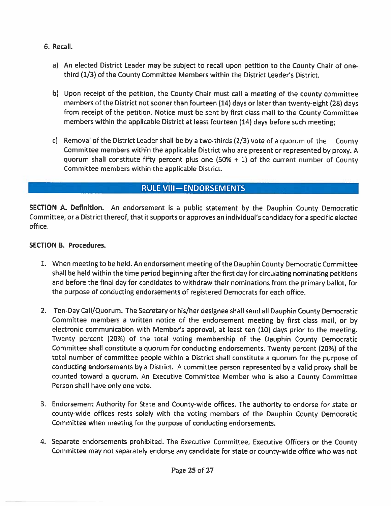- 6. Recall.
	- a) An elected District Leader may be subject to recall upon petition to the County Chair of onethird (1/3) of the County Committee Members within the District Leader's District.
	- b) Upon receipt of the petition, the County Chair must call <sup>a</sup> meeting of the county committee members of the District not sooner than fourteen (14) days or later than twenty-eight (28) days from receipt of the petition. Notice must be sent by first class mail to the County Committee members within the applicable District at least fourteen (14) days before such meeting;
	- c) Removal of the District Leader shall be by <sup>a</sup> two-thirds (2/3) vote of <sup>a</sup> quorum of the County Committee members within the applicable District who are presen<sup>t</sup> or represented by proxy. <sup>A</sup> quorum shall constitute fifty percent plus one  $(50% + 1)$  of the current number of County Committee members within the applicable District.

## RULE VIll—ENDORSEMENTS

SECTION A. Definition. An endorsement is <sup>a</sup> public statement by the Dauphin County Democratic Committee, or <sup>a</sup> District thereof, that it supports or approves an individual's candidacy for <sup>a</sup> specific elected office.

#### SECTION B. Procedures.

- 1. When meeting to be held. An endorsement meeting of the Dauphin County Democratic Committee shall be held within the time period beginning after the first day for circulating nominating petitions and before the final day for candidates to withdraw their nominations from the primary ballot, for the purpose of conducting endorsements of registered Democrats for each office.
- 2. Ten-Day Call/Quorum. The Secretary or his/her designee shall send all Dauphin County Democratic Committee members <sup>a</sup> written notice of the endorsement meeting by first class mail, or by electronic communication with Member's approval, at least ten (10) days prior to the meeting. Twenty percen<sup>t</sup> (20%) of the total voting membership of the Dauphin County Democratic Committee shall constitute <sup>a</sup> quorum for conducting endorsements. Twenty percen<sup>t</sup> (20%) of the total number of committee people within <sup>a</sup> District shall constitute <sup>a</sup> quorum for the purpose of conducting endorsements by <sup>a</sup> District. <sup>A</sup> committee person represented by <sup>a</sup> valid proxy shall be counted toward <sup>a</sup> quorum. An Executive Committee Member who is also <sup>a</sup> County Committee Person shall have only one vote.
- 3. Endorsement Authority for State and County-wide offices. The authority to endorse for state or county-wide offices rests solely with the voting members of the Dauphin County Democratic Committee when meeting for the purpose of conducting endorsements.
- 4. Separate endorsements prohibited. The Executive Committee, Executive Officers or the County Committee may not separately endorse any candidate for state or county-wide office who was not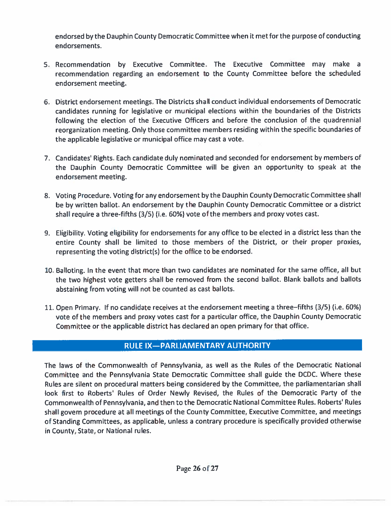endorsed by the Dauphin County Democratic Committee when it met for the purpose of conducting endorsements.

- 5. Recommendation by Executive Committee. The Executive Committee may make <sup>a</sup> recommendation regarding an endorsement to the County Committee before the scheduled endorsement meeting.
- 6. District endorsement meetings. The Districts shall conduct individual endorsements of Democratic candidates running for legislative or municipal elections within the boundaries of the Districts following the election of the Executive Officers and before the conclusion of the quadrennial reorganization meeting. Only those committee members residing within the specific boundaries of the applicable legislative or municipal office may cast <sup>a</sup> vote.
- 7. Candidates' Rights. Each candidate duly nominated and seconded for endorsement by members of the Dauphin County Democratic Committee will be <sup>g</sup>iven an opportunity to speak at the endorsement meeting.
- 8. Voting Procedure. Voting for any endorsement by the Dauphin County Democratic Committee shall be by written ballot. An endorsement by the Dauphin County Democratic Committee or <sup>a</sup> district shall require <sup>a</sup> three-fifths (3/5) (i.e. 60%) vote of the members and proxy votes cast.
- 9. Eligibility. Voting eligibility for endorsements for any office to be elected in <sup>a</sup> district less than the entire County shall be limited to those members of the District, or their proper proxies representing the voting district(s) for the office to be endorsed.
- 10. Balloting. In the event that more than two candidates are nominated for the same office, all but the two highest vote getters shall be removed from the second ballot. Blank ballots and ballots abstaining from voting will not be counted as cast ballots.
- 11. Open Primary. If no candidate receives at the endorsement meeting <sup>a</sup> three—fifths (3/5) (i.e. 60%) vote of the members and proxy votes cast for <sup>a</sup> particular office, the Dauphin County Democratic Committee or the applicable district has declared an open primary for that office.

## RULE IX—PARLIAMENTARY AUTHORITY

The laws of the Commonwealth of Pennsylvania, as well as the Rules of the Democratic National Committee and the Pennsylvania State Democratic Committee shall guide the DCDC. Where these Rules are silent on procedural matters being considered by the Committee, the parliamentarian shall look first to Roberts' Rules of Order Newly Revised, the Rules of the Democratic Party of the Commonwealth of Pennsylvania, and then to the Democratic National Committee Rules. Roberts' Rules shall govern procedure at all meetings of the County Committee, Executive Committee, and meetings of Standing Committees, as applicable, unless <sup>a</sup> contrary procedure is specifically provided otherwise in County, State, or National rules.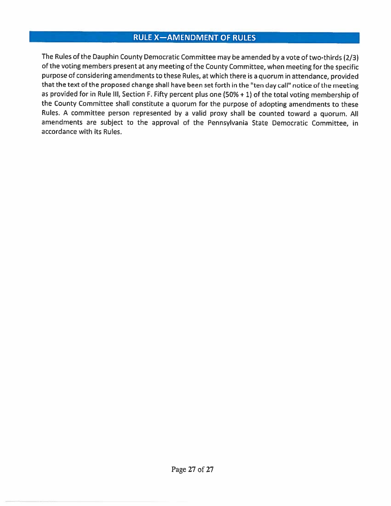## RULE X—AMENDMENT OF RULES

The Rules of the Dauphin County Democratic Committee may be amended by <sup>a</sup> vote of two-thirds (2/3) of the voting members presen<sup>t</sup> at any meeting of the County Committee, when meeting for the specific purpose of considering amendments to these Rules, at which there is <sup>a</sup> quorum in attendance, provided that the text of the proposed change shall have been set forth in the "ten day call" notice of the meeting as provided for in Rule Ill, Section F. Fifty percen<sup>t</sup> <sup>p</sup>lus one (50% <sup>+</sup> 1) of the total voting membership of the County Committee shall constitute <sup>a</sup> quorum for the purpose of adopting amendments to these Rules. <sup>A</sup> committee person represented by <sup>a</sup> valid proxy shall be counted toward <sup>a</sup> quorum. All amendments are subject to the approva<sup>l</sup> of the Pennsylvania State Democratic Committee, in accordance with its Rules.